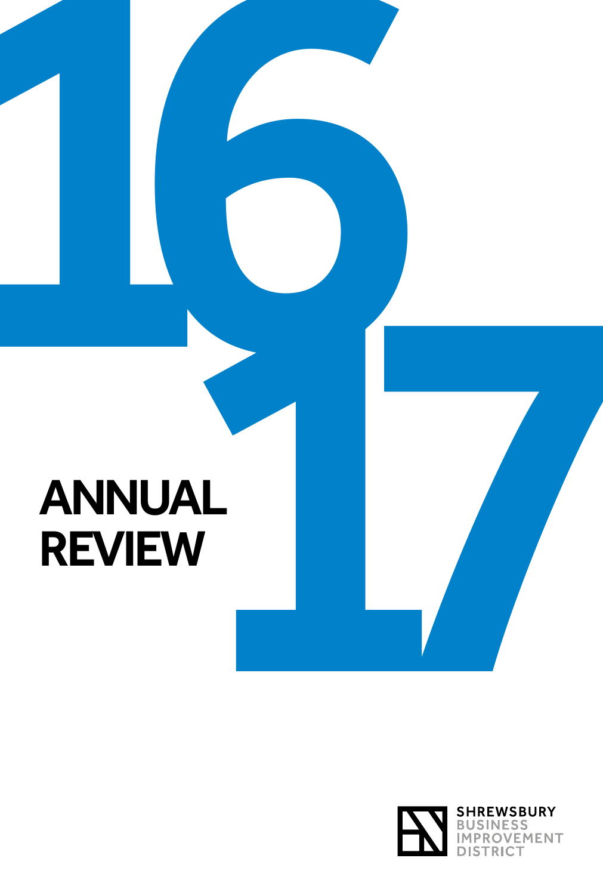# ANNUAL<br>REVIEW<br>REVIEW REVIEW

16

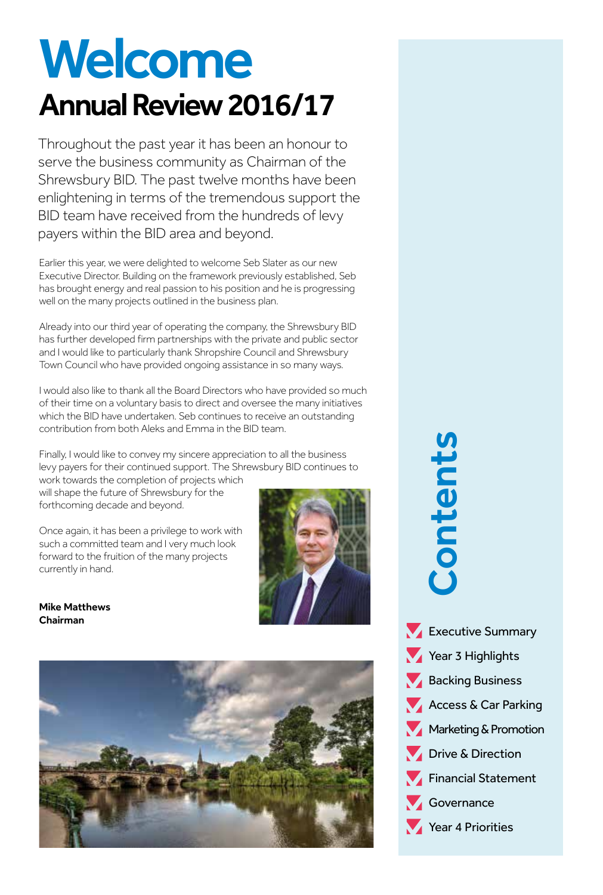### Welcome Annual Review 2016/17

Throughout the past year it has been an honour to serve the business community as Chairman of the Shrewsbury BID. The past twelve months have been enlightening in terms of the tremendous support the BID team have received from the hundreds of levy payers within the BID area and beyond.

Earlier this year, we were delighted to welcome Seb Slater as our new Executive Director. Building on the framework previously established, Seb has brought energy and real passion to his position and he is progressing well on the many projects outlined in the business plan.

Already into our third year of operating the company, the Shrewsbury BID has further developed firm partnerships with the private and public sector and I would like to particularly thank Shropshire Council and Shrewsbury Town Council who have provided ongoing assistance in so many ways.

I would also like to thank all the Board Directors who have provided so much of their time on a voluntary basis to direct and oversee the many initiatives which the BID have undertaken. Seb continues to receive an outstanding contribution from both Aleks and Emma in the BID team.

Finally, I would like to convey my sincere appreciation to all the business levy payers for their continued support. The Shrewsbury BID continues to work towards the completion of projects which

will shape the future of Shrewsbury for the forthcoming decade and beyond.

Once again, it has been a privilege to work with such a committed team and I very much look forward to the fruition of the many projects currently in hand.



Mike Matthews Chairman



**Executive Summary** Year 3 Highlights Backing Business Access & Car Parking Marketing & Promotion Year 3 Highlight<br>
Year 3 Highlight<br>
Year 3 Highlight<br>
Backing Busines<br>
Access & Car Pa<br>
Marketing & Pron<br>
Drive & Directio<br>
Financial Staten<br>
Governance<br>
Year 4 Priorities



**Financial Statement** 

Governance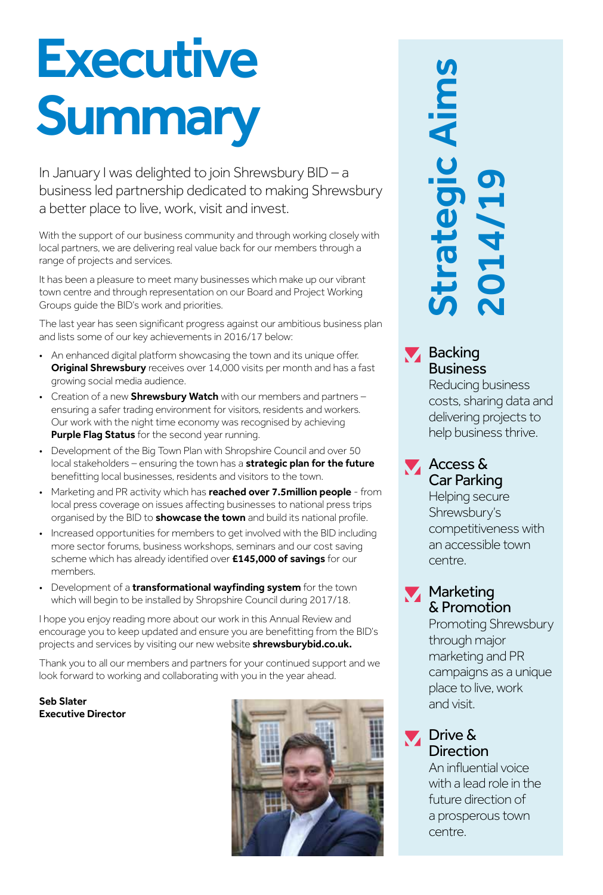### **Executive Summary**

In January I was delighted to join Shrewsbury BID – a business led partnership dedicated to making Shrewsbury a better place to live, work, visit and invest.

With the support of our business community and through working closely with local partners, we are delivering real value back for our members through a range of projects and services.

It has been a pleasure to meet many businesses which make up our vibrant town centre and through representation on our Board and Project Working Groups guide the BID's work and priorities.

The last year has seen significant progress against our ambitious business plan and lists some of our key achievements in 2016/17 below:

- An enhanced digital platform showcasing the town and its unique offer. **Original Shrewsbury** receives over 14,000 visits per month and has a fast growing social media audience.
- Creation of a new **Shrewsbury Watch** with our members and partners  $$ ensuring a safer trading environment for visitors, residents and workers. Our work with the night time economy was recognised by achieving **Purple Flag Status** for the second year running.
- Development of the Big Town Plan with Shropshire Council and over 50 local stakeholders – ensuring the town has a **strategic plan for the future** benefitting local businesses, residents and visitors to the town.
- Marketing and PR activity which has **reached over 7.5million people** from local press coverage on issues affecting businesses to national press trips organised by the BID to **showcase the town** and build its national profile.
- Increased opportunities for members to get involved with the BID including more sector forums, business workshops, seminars and our cost saving scheme which has already identified over £145,000 of savings for our members.
- Development of a **transformational wayfinding system** for the town which will begin to be installed by Shropshire Council during 2017/18.

I hope you enjoy reading more about our work in this Annual Review and encourage you to keep updated and ensure you are benefitting from the BID's projects and services by visiting our new website shrewsburybid.co.uk.

Thank you to all our members and partners for your continued support and we look forward to working and collaborating with you in the year ahead.

Seb Slater Executive Director



## Controlled and visible aircred and visible aircred and visible aircred and visible aircred and visible aircred and visible aircred and visible aircred and visible aircred and visible aircred and visible aircred and visible trategic Aim 2014/19

### **Backing** Business

Reducing business costs, sharing data and delivering projects to help business thrive.

Access & Car Parking

> Helping secure Shrewsbury's competitiveness with an accessible town centre.

### **Marketing** & Promotion

Promoting Shrewsbury through major marketing and PR campaigns as a unique place to live, work and visit.

### **Drive & Direction**

An influential voice with a lead role in the future direction of a prosperous town centre.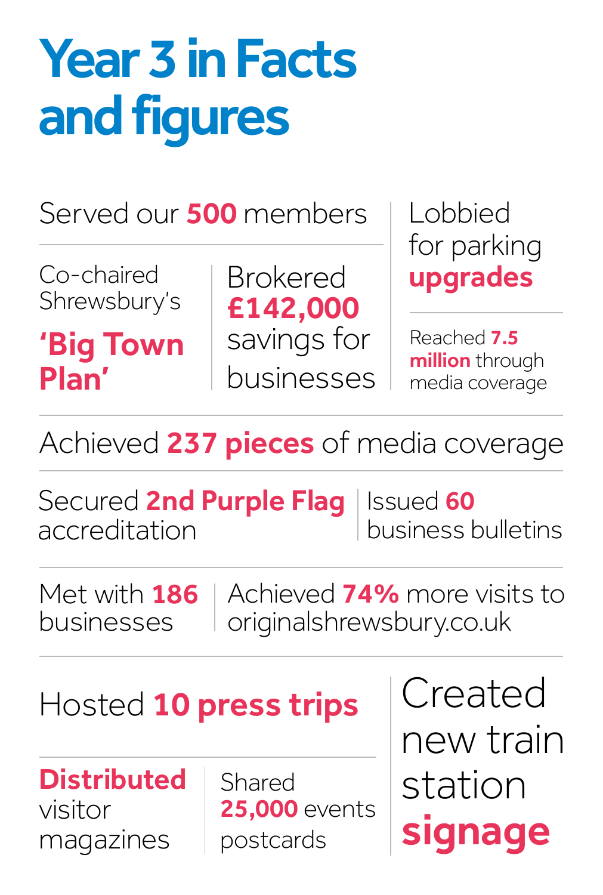### Year 3 in Facts and figures

Served our **500** members

Co-chaired Shrewsbury's

'Big Town Plan'

Brokered £142,000 savings for businesses

Lobbied for parking upgrades

Reached 7.5 million through media coverage

Achieved 237 pieces of media coverage

Secured 2nd Purple Flag accreditation Issued 60 business bulletins

Met with **186** businesses

Achieved 74% more visits to originalshrewsbury.co.uk

Hosted 10 press trips

**Distributed** visitor magazines

Shared **25,000** events postcards

Created new train station signage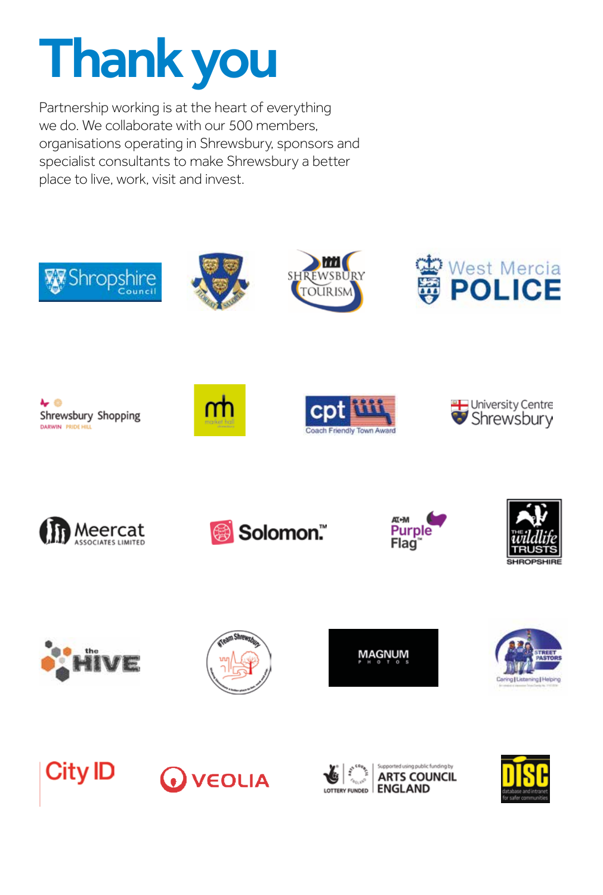### Thank you

Partnership working is at the heart of everything we do. We collaborate with our 500 members, organisations operating in Shrewsbury, sponsors and specialist consultants to make Shrewsbury a better place to live, work, visit and invest.

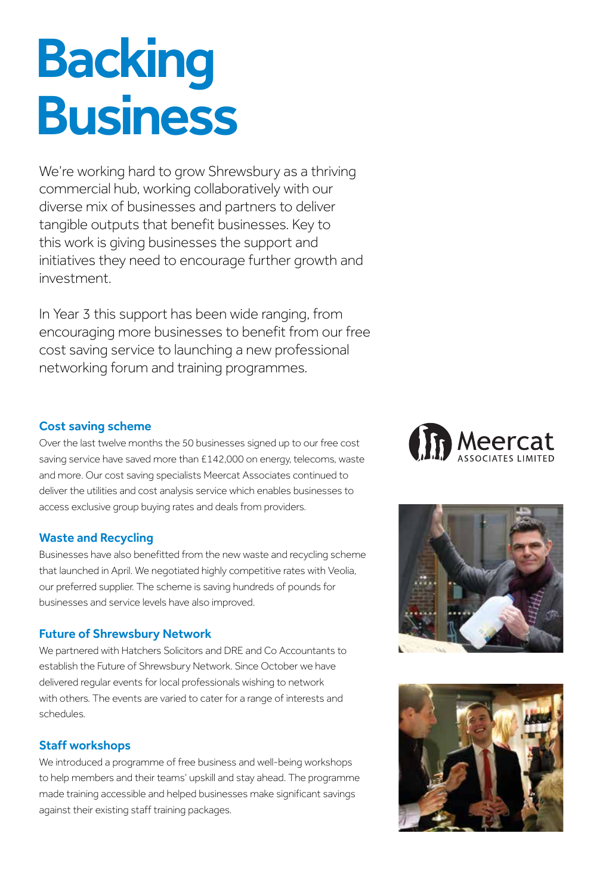### Backing Business

We're working hard to grow Shrewsbury as a thriving commercial hub, working collaboratively with our diverse mix of businesses and partners to deliver tangible outputs that benefit businesses. Key to this work is giving businesses the support and initiatives they need to encourage further growth and investment.

In Year 3 this support has been wide ranging, from encouraging more businesses to benefit from our free cost saving service to launching a new professional networking forum and training programmes.

### Cost saving scheme

Over the last twelve months the 50 businesses signed up to our free cost saving service have saved more than £142,000 on energy, telecoms, waste and more. Our cost saving specialists Meercat Associates continued to deliver the utilities and cost analysis service which enables businesses to access exclusive group buying rates and deals from providers.

### Waste and Recycling

Businesses have also benefitted from the new waste and recycling scheme that launched in April. We negotiated highly competitive rates with Veolia, our preferred supplier. The scheme is saving hundreds of pounds for businesses and service levels have also improved.

### Future of Shrewsbury Network

We partnered with Hatchers Solicitors and DRE and Co Accountants to establish the Future of Shrewsbury Network. Since October we have delivered regular events for local professionals wishing to network with others. The events are varied to cater for a range of interests and schedules.

### Staff workshops

We introduced a programme of free business and well-being workshops to help members and their teams' upskill and stay ahead. The programme made training accessible and helped businesses make significant savings against their existing staff training packages.





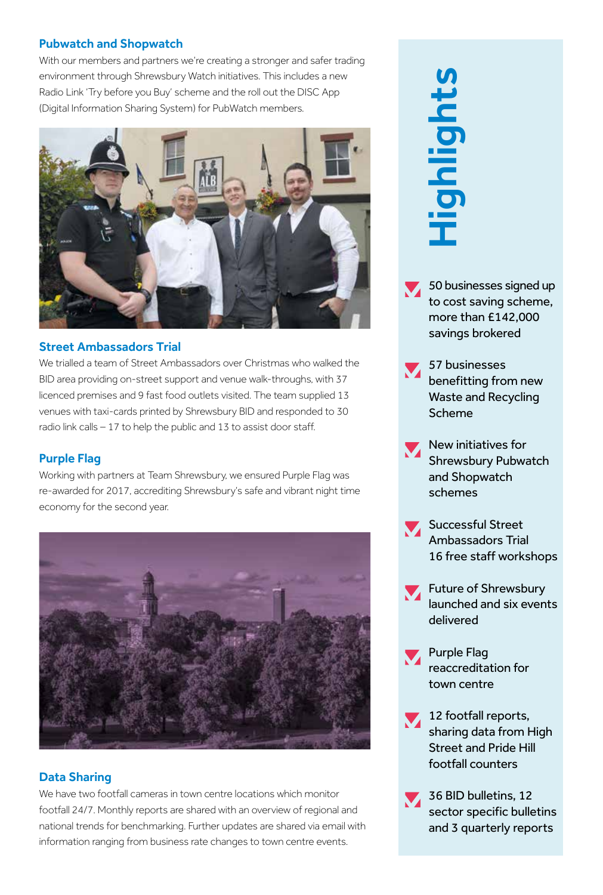### Pubwatch and Shopwatch

With our members and partners we're creating a stronger and safer trading environment through Shrewsbury Watch initiatives. This includes a new Radio Link 'Try before you Buy' scheme and the roll out the DISC App (Digital Information Sharing System) for PubWatch members.



### Street Ambassadors Trial

We trialled a team of Street Ambassadors over Christmas who walked the BID area providing on-street support and venue walk-throughs, with 37 licenced premises and 9 fast food outlets visited. The team supplied 13 venues with taxi-cards printed by Shrewsbury BID and responded to 30 radio link calls – 17 to help the public and 13 to assist door staff.

### Purple Flag

Working with partners at Team Shrewsbury, we ensured Purple Flag was re-awarded for 2017, accrediting Shrewsbury's safe and vibrant night time economy for the second year.



### Data Sharing

We have two footfall cameras in town centre locations which monitor footfall 24/7. Monthly reports are shared with an overview of regional and national trends for benchmarking. Further updates are shared via email with information ranging from business rate changes to town centre events.

### Highlights

- 50 businesses signed up to cost saving scheme, more than £142,000 savings brokered
- 57 businesses benefitting from new Waste and Recycling Scheme
- New initiatives for Shrewsbury Pubwatch and Shopwatch schemes
- Successful Street Ambassadors Trial 16 free staff workshops
- **Future of Shrewsbury** launched and six events delivered
	- Purple Flag reaccreditation for town centre
- 12 footfall reports, sharing data from High Street and Pride Hill footfall counters **and 3** subsinesses signed up<br>to cost saving scheme,<br>more than £142,000<br>savings brokered<br>57 businesses<br>benefitting from new<br>Waste and Recycling<br>Scheme<br>State and Recycling<br>Scheme<br>Schemes<br>Successful Street<br>4 Ambassadors Tria
- 36 BID bulletins, 12 sector specific bulletins and 3 quarterly reports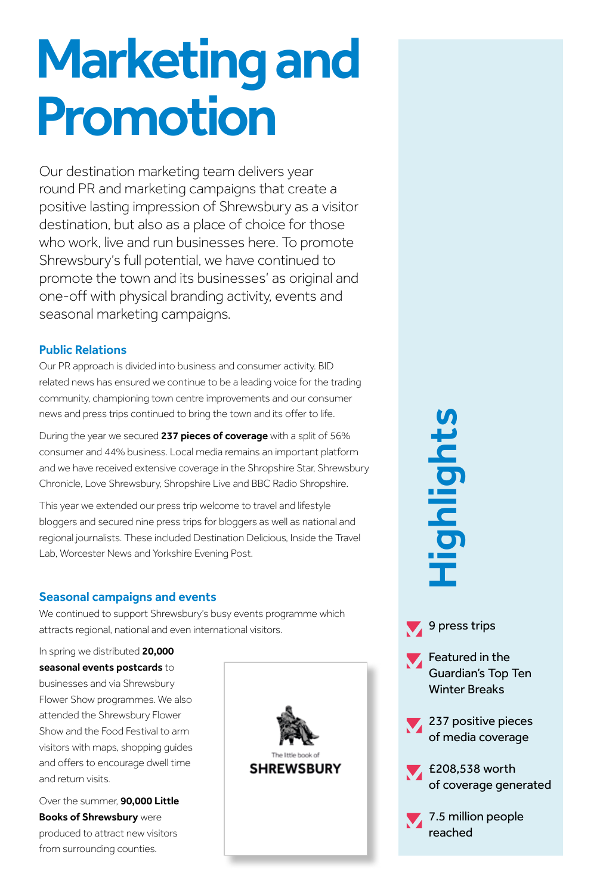### Marketing and Promotion

Our destination marketing team delivers year round PR and marketing campaigns that create a positive lasting impression of Shrewsbury as a visitor destination, but also as a place of choice for those who work, live and run businesses here. To promote Shrewsbury's full potential, we have continued to promote the town and its businesses' as original and one-off with physical branding activity, events and seasonal marketing campaigns.

### Public Relations

Our PR approach is divided into business and consumer activity. BID related news has ensured we continue to be a leading voice for the trading community, championing town centre improvements and our consumer news and press trips continued to bring the town and its offer to life.

During the year we secured 237 pieces of coverage with a split of 56% consumer and 44% business. Local media remains an important platform and we have received extensive coverage in the Shropshire Star, Shrewsbury Chronicle, Love Shrewsbury, Shropshire Live and BBC Radio Shropshire.

This year we extended our press trip welcome to travel and lifestyle bloggers and secured nine press trips for bloggers as well as national and regional journalists. These included Destination Delicious, Inside the Travel Lab, Worcester News and Yorkshire Evening Post.

### Seasonal campaigns and events

We continued to support Shrewsbury's busy events programme which attracts regional, national and even international visitors.

In spring we distributed 20,000 seasonal events postcards to businesses and via Shrewsbury Flower Show programmes. We also attended the Shrewsbury Flower Show and the Food Festival to arm visitors with maps, shopping guides and offers to encourage dwell time and return visits.

Over the summer, **90,000 Little Books of Shrewsbury were** produced to attract new visitors from surrounding counties.



Highlights **reached**<br>Spress<sup>1</sup><br>Feature<br>Guardian<br>Winter E<br>237 pos<br>6 media<br>E208,53<br>7.5 millights

9 press trips

**Featured in the** Guardian's Top Ten Winter Breaks

237 positive pieces of media coverage

£208,538 worth of coverage generated

7.5 million people reached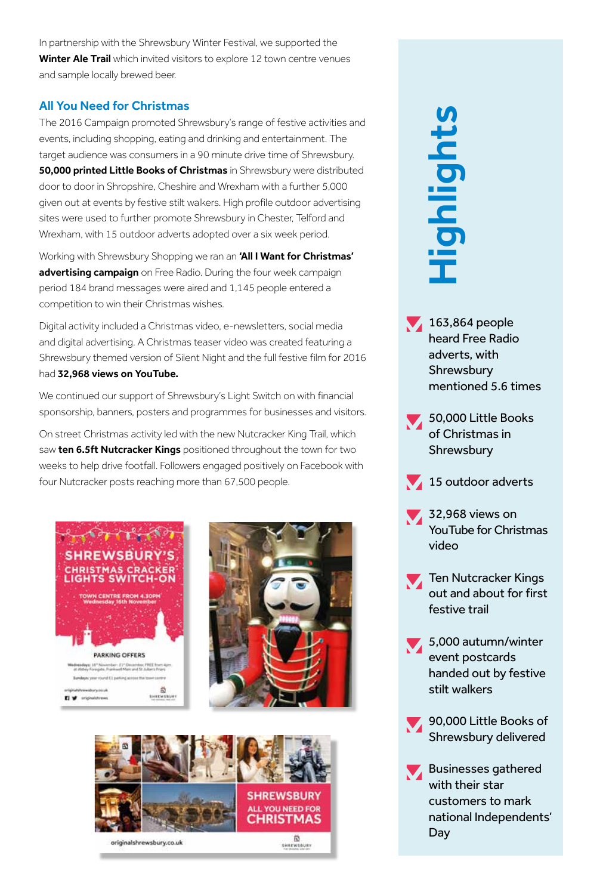In partnership with the Shrewsbury Winter Festival, we supported the Winter Ale Trail which invited visitors to explore 12 town centre venues and sample locally brewed beer.

### All You Need for Christmas

The 2016 Campaign promoted Shrewsbury's range of festive activities and events, including shopping, eating and drinking and entertainment. The target audience was consumers in a 90 minute drive time of Shrewsbury. **50,000 printed Little Books of Christmas** in Shrewsbury were distributed door to door in Shropshire, Cheshire and Wrexham with a further 5,000 given out at events by festive stilt walkers. High profile outdoor advertising sites were used to further promote Shrewsbury in Chester, Telford and Wrexham, with 15 outdoor adverts adopted over a six week period.

Working with Shrewsbury Shopping we ran an 'All I Want for Christmas' advertising campaign on Free Radio. During the four week campaign period 184 brand messages were aired and 1,145 people entered a competition to win their Christmas wishes.

Digital activity included a Christmas video, e-newsletters, social media and digital advertising. A Christmas teaser video was created featuring a Shrewsbury themed version of Silent Night and the full festive film for 2016 had 32,968 views on YouTube.

We continued our support of Shrewsbury's Light Switch on with financial sponsorship, banners, posters and programmes for businesses and visitors.

On street Christmas activity led with the new Nutcracker King Trail, which saw ten 6.5ft Nutcracker Kings positioned throughout the town for two weeks to help drive footfall. Followers engaged positively on Facebook with four Nutcracker posts reaching more than 67,500 people.







# **David Shrews**<br>
163,86<br>
heard F<br>
163,86<br>
heard F<br>
Shrews<br>
mentic<br>
50,000<br>
of Chri<br>
15 out<br>
32,968<br>
YouTubeo<br>
Ten Nu<br>
32,968<br>
YouTubeo<br>
Ten Nu<br>
ander Fishing<br>
15 out<br>
ander Fishing<br>
16 out ander Fishing<br>
5,000<br>
event pander ighlight

- $\bigvee$  163,864 people heard Free Radio adverts, with **Shrewsbury** mentioned 5.6 times
- 50,000 Little Books of Christmas in **Shrewsbury**
- $15$  outdoor adverts
- 32,968 views on YouTube for Christmas video
- Ten Nutcracker Kings out and about for first festive trail
- 5,000 autumn/winter event postcards handed out by festive stilt walkers
- 90,000 Little Books of Shrewsbury delivered
- **Businesses gathered** with their star customers to mark national Independents' Dav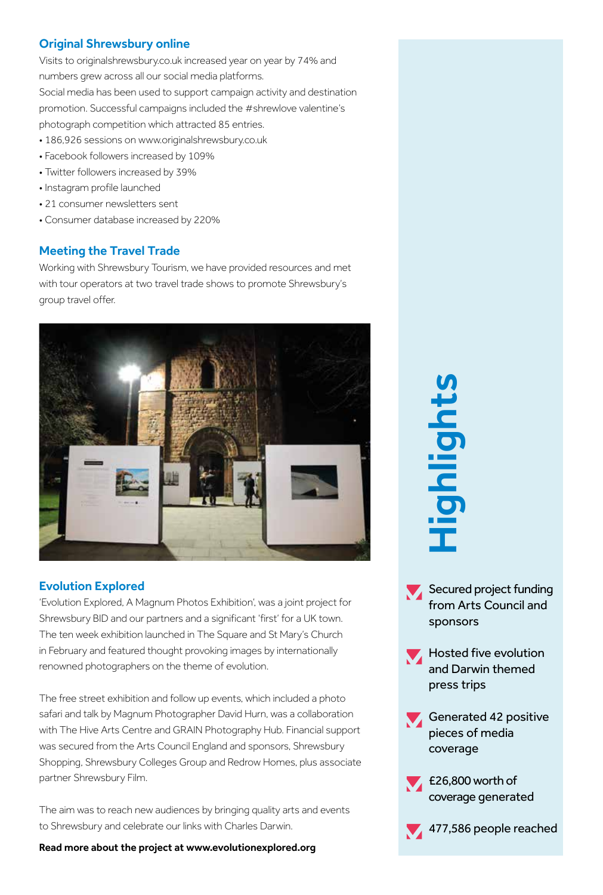### Original Shrewsbury online

Visits to originalshrewsbury.co.uk increased year on year by 74% and numbers grew across all our social media platforms. Social media has been used to support campaign activity and destination promotion. Successful campaigns included the #shrewlove valentine's photograph competition which attracted 85 entries.

- 186,926 sessions on www.originalshrewsbury.co.uk
- Facebook followers increased by 109%
- Twitter followers increased by 39%
- Instagram profile launched
- 21 consumer newsletters sent
- Consumer database increased by 220%

### Meeting the Travel Trade

Working with Shrewsbury Tourism, we have provided resources and met with tour operators at two travel trade shows to promote Shrewsbury's group travel offer.



### Evolution Explored

'Evolution Explored, A Magnum Photos Exhibition', was a joint project for Shrewsbury BID and our partners and a significant 'first' for a UK town. The ten week exhibition launched in The Square and St Mary's Church in February and featured thought provoking images by internationally renowned photographers on the theme of evolution.

The free street exhibition and follow up events, which included a photo safari and talk by Magnum Photographer David Hurn, was a collaboration with The Hive Arts Centre and GRAIN Photography Hub. Financial support was secured from the Arts Council England and sponsors, Shrewsbury Shopping, Shrewsbury Colleges Group and Redrow Homes, plus associate partner Shrewsbury Film.

The aim was to reach new audiences by bringing quality arts and events to Shrewsbury and celebrate our links with Charles Darwin.

Read more about the project at www.evolutionexplored.org

477,586 people reached<br>477,586 people reached<br>477,586 people reached<br>477,586 people reached<br>477,586 people reached

- Secured project funding from Arts Council and sponsors
- $\blacktriangleright$  Hosted five evolution and Darwin themed press trips
- Generated 42 positive pieces of media coverage
- E26,800 worth of coverage generated

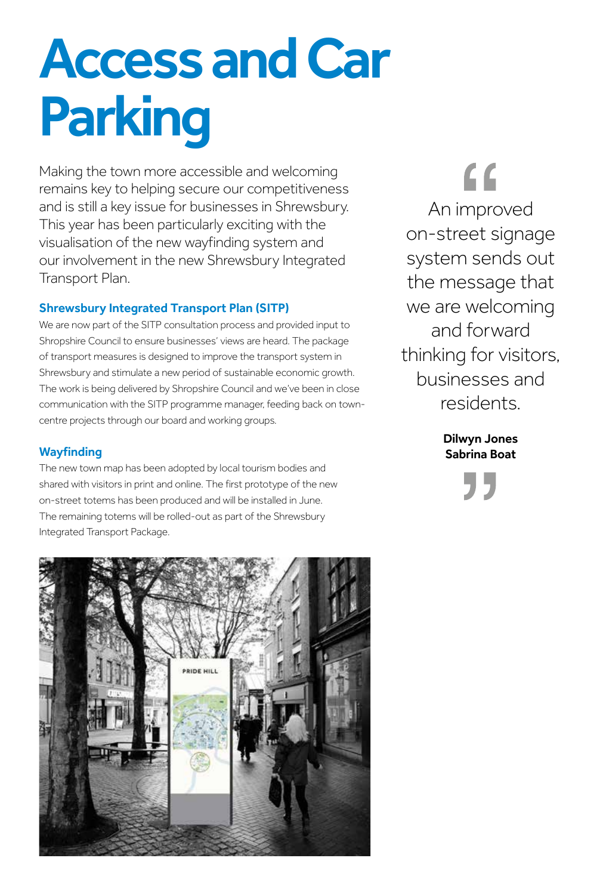### Access and Car Parking

Making the town more accessible and welcoming remains key to helping secure our competitiveness and is still a key issue for businesses in Shrewsbury. This year has been particularly exciting with the visualisation of the new wayfinding system and our involvement in the new Shrewsbury Integrated Transport Plan.

### Shrewsbury Integrated Transport Plan (SITP)

We are now part of the SITP consultation process and provided input to Shropshire Council to ensure businesses' views are heard. The package of transport measures is designed to improve the transport system in Shrewsbury and stimulate a new period of sustainable economic growth. The work is being delivered by Shropshire Council and we've been in close communication with the SITP programme manager, feeding back on towncentre projects through our board and working groups.

### **Wayfinding**

The new town map has been adopted by local tourism bodies and shared with visitors in print and online. The first prototype of the new on-street totems has been produced and will be installed in June. The remaining totems will be rolled-out as part of the Shrewsbury Integrated Transport Package.

 $\epsilon$ An improved on-street signage system sends out the message that we are welcoming and forward thinking for visitors, businesses and residents.

> Dilwyn Jones Sabrina Boat

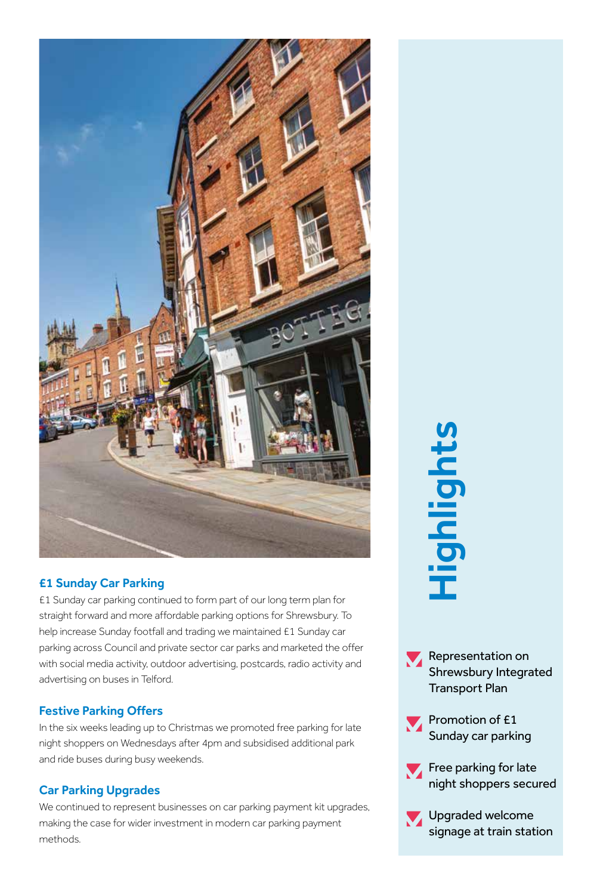

### £1 Sunday Car Parking

£1 Sunday car parking continued to form part of our long term plan for straight forward and more affordable parking options for Shrewsbury. To help increase Sunday footfall and trading we maintained £1 Sunday car parking across Council and private sector car parks and marketed the offer with social media activity, outdoor advertising, postcards, radio activity and advertising on buses in Telford.

### Festive Parking Offers

In the six weeks leading up to Christmas we promoted free parking for late night shoppers on Wednesdays after 4pm and subsidised additional park and ride buses during busy weekends.

### Car Parking Upgrades

We continued to represent businesses on car parking payment kit upgrades, making the case for wider investment in modern car parking payment methods.

### **Highlights**

Representation on Shrewsbury Integrated Transport Plan



- Free parking for late night shoppers secured
- Upgraded welcome signage at train station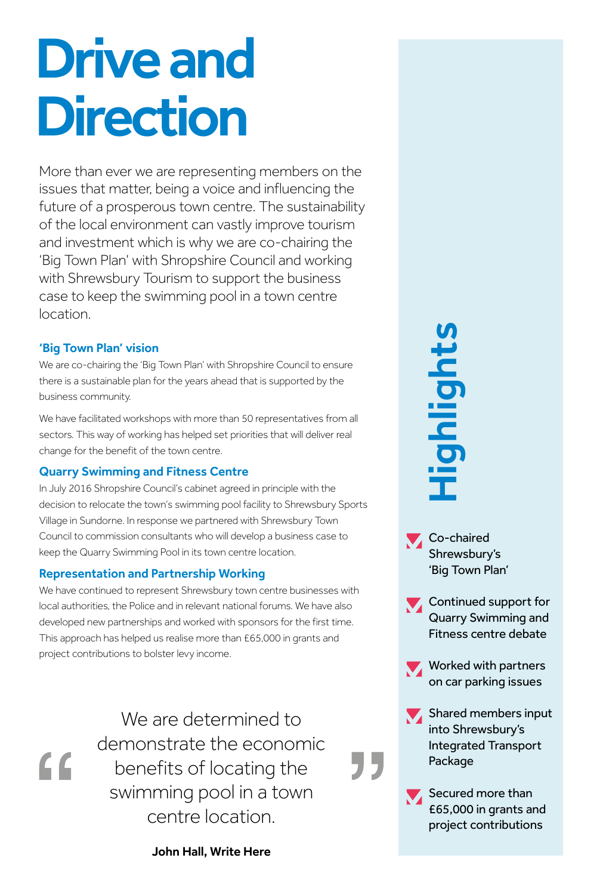### Drive and **Direction**

More than ever we are representing members on the issues that matter, being a voice and influencing the future of a prosperous town centre. The sustainability of the local environment can vastly improve tourism and investment which is why we are co-chairing the 'Big Town Plan' with Shropshire Council and working with Shrewsbury Tourism to support the business case to keep the swimming pool in a town centre location.

### 'Big Town Plan' vision

 $\overline{\mathbf{G}}$ 

We are co-chairing the 'Big Town Plan' with Shropshire Council to ensure there is a sustainable plan for the years ahead that is supported by the business community.

We have facilitated workshops with more than 50 representatives from all sectors. This way of working has helped set priorities that will deliver real change for the benefit of the town centre.

### Quarry Swimming and Fitness Centre

In July 2016 Shropshire Council's cabinet agreed in principle with the decision to relocate the town's swimming pool facility to Shrewsbury Sports Village in Sundorne. In response we partnered with Shrewsbury Town Council to commission consultants who will develop a business case to keep the Quarry Swimming Pool in its town centre location.

### Representation and Partnership Working

We have continued to represent Shrewsbury town centre businesses with local authorities, the Police and in relevant national forums. We have also developed new partnerships and worked with sponsors for the first time. This approach has helped us realise more than £65,000 in grants and project contributions to bolster levy income.

> We are determined to demonstrate the economic benefits of locating the swimming pool in a town centre location.

> > John Hall, Write Here

# **Profile of the Contributions Highlights Scheme Scheme Scheme Scheme Scheme Scheme Scheme Scheme Scheme Scheme Scheme Scheme Scheme Scheme Scheme Scheme Scheme Scheme Scheme Scheme Scheme Scheme Scheme Scheme Scheme Scheme**

- **Co-chaired** Shrewsbury's 'Big Town Plan'
- Continued support for Quarry Swimming and Fitness centre debate
- Worked with partners on car parking issues
- Shared members input into Shrewsbury's Integrated Transport Package

"

Secured more than £65,000 in grants and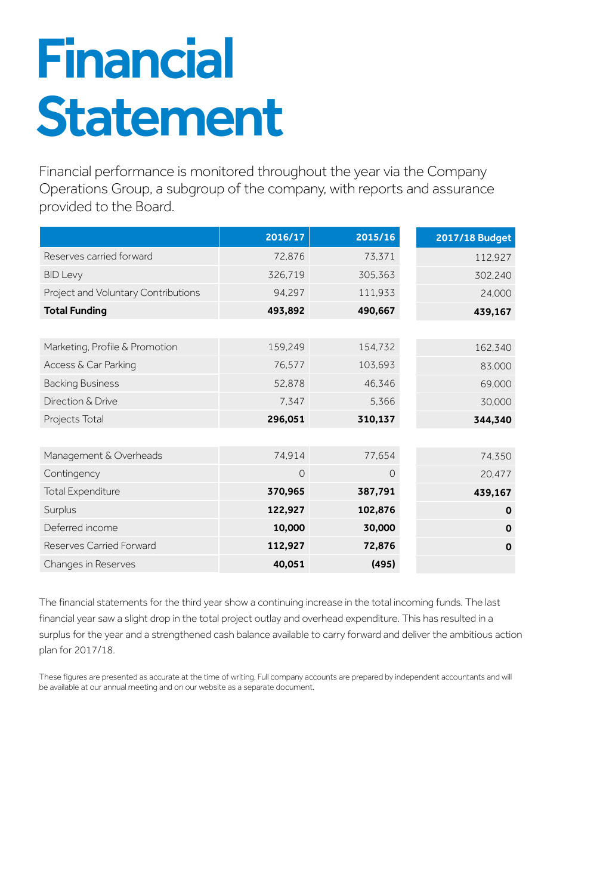### Financial Statement

Financial performance is monitored throughout the year via the Company Operations Group, a subgroup of the company, with reports and assurance provided to the Board.

|                                     | 2016/17 | 2015/16 | 2017/18 Budget |
|-------------------------------------|---------|---------|----------------|
| Reserves carried forward            | 72,876  | 73.371  | 112,927        |
| <b>BID Levy</b>                     | 326,719 | 305,363 | 302,240        |
| Project and Voluntary Contributions | 94,297  | 111,933 | 24,000         |
| <b>Total Funding</b>                | 493,892 | 490,667 | 439,167        |
|                                     |         |         |                |
| Marketing, Profile & Promotion      | 159,249 | 154,732 | 162,340        |
| Access & Car Parking                | 76,577  | 103,693 | 83,000         |
| <b>Backing Business</b>             | 52,878  | 46,346  | 69,000         |
| Direction & Drive                   | 7,347   | 5.366   | 30,000         |
| Projects Total                      | 296,051 | 310,137 | 344,340        |
|                                     |         |         |                |
| Management & Overheads              | 74,914  | 77,654  | 74,350         |
| Contingency                         | 0       | $\circ$ | 20,477         |
| <b>Total Expenditure</b>            | 370,965 | 387,791 | 439,167        |
| Surplus                             | 122,927 | 102,876 | O              |
| Deferred income                     | 10,000  | 30,000  | $\mathbf 0$    |
| Reserves Carried Forward            | 112,927 | 72,876  | $\mathbf 0$    |
| Changes in Reserves                 | 40,051  | (495)   |                |

The financial statements for the third year show a continuing increase in the total incoming funds. The last financial year saw a slight drop in the total project outlay and overhead expenditure. This has resulted in a surplus for the year and a strengthened cash balance available to carry forward and deliver the ambitious action plan for 2017/18.

These figures are presented as accurate at the time of writing. Full company accounts are prepared by independent accountants and will be available at our annual meeting and on our website as a separate document.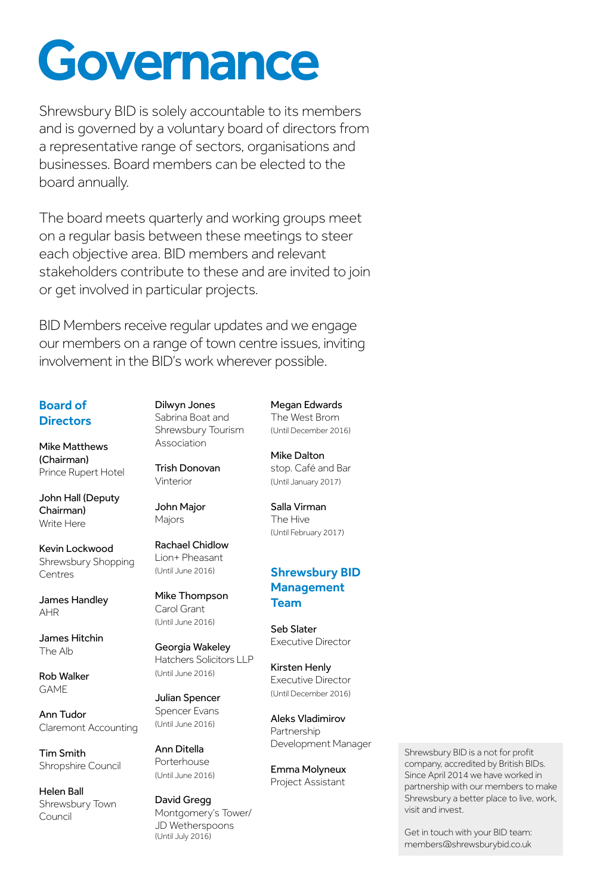### **Governance**

Shrewsbury BID is solely accountable to its members and is governed by a voluntary board of directors from a representative range of sectors, organisations and businesses. Board members can be elected to the board annually.

The board meets quarterly and working groups meet on a regular basis between these meetings to steer each objective area. BID members and relevant stakeholders contribute to these and are invited to join or get involved in particular projects.

BID Members receive regular updates and we engage our members on a range of town centre issues, inviting involvement in the BID's work wherever possible.

### Board of **Directors**

Mike Matthews (Chairman) Prince Rupert Hotel

John Hall (Deputy Chairman) Write Here

Kevin Lockwood Shrewsbury Shopping Centres

James Handley AHR

James Hitchin The Alb

Rob Walker GAME

Ann Tudor Claremont Accounting

Tim Smith Shropshire Council

Helen Ball Shrewsbury Town Council

Dilwyn Jones Sabrina Boat and Shrewsbury Tourism

Trish Donovan Vinterior

Association

John Major Majors

Rachael Chidlow Lion+ Pheasant (Until June 2016)

Mike Thompson Carol Grant (Until June 2016)

Georgia Wakeley Hatchers Solicitors LLP (Until June 2016)

Julian Spencer Spencer Evans (Until June 2016)

Ann Ditella Porterhouse (Until June 2016)

David Gregg Montgomery's Tower/ JD Wetherspoons (Until July 2016)

### Megan Edwards

The West Brom (Until December 2016)

Mike Dalton stop. Café and Bar (Until January 2017)

Salla Virman The Hive (Until February 2017)

### Shrewsbury BID **Management** Team

Seb Slater Executive Director

Kirsten Henly Executive Director (Until December 2016)

Aleks Vladimirov Partnership Development Manager

Emma Molyneux Project Assistant

Shrewsbury BID is a not for profit company, accredited by British BIDs. Since April 2014 we have worked in partnership with our members to make Shrewsbury a better place to live, work, visit and invest.

Get in touch with your BID team: members@shrewsburybid.co.uk